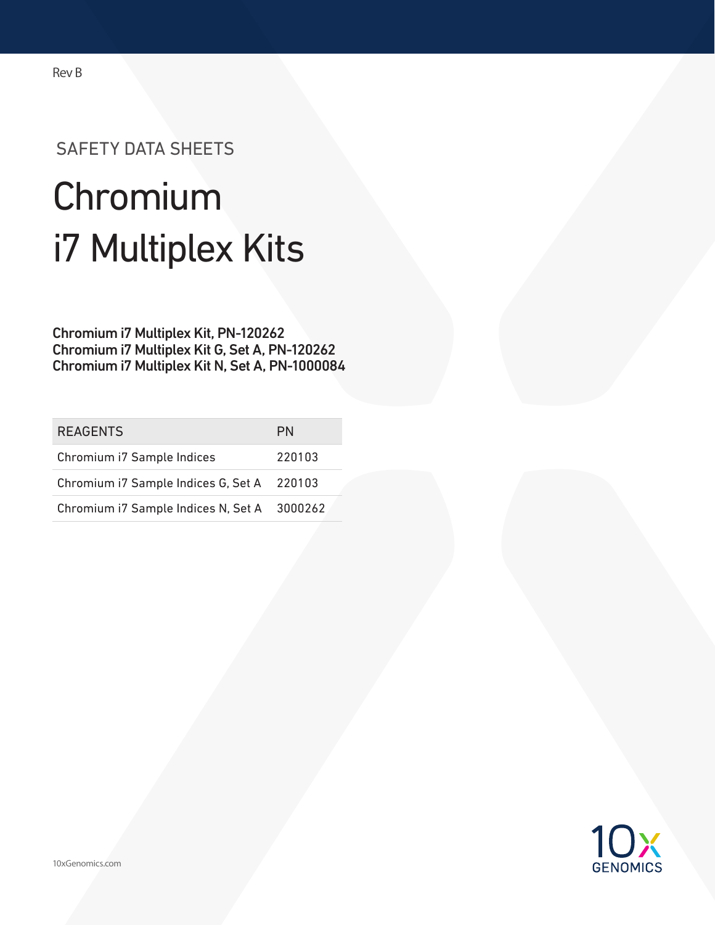## SAFETY DATA SHEETS

# Chromium i7 Multiplex Kits

Chromium i7 Multiplex Kit, PN-120262 Chromium i7 Multiplex Kit G, Set A, PN-120262 Chromium i7 Multiplex Kit N, Set A, PN-1000084

| <b>REAGENTS</b>                             | <b>PN</b> |
|---------------------------------------------|-----------|
| Chromium i7 Sample Indices                  | 220103    |
| Chromium i7 Sample Indices G, Set A 220103  |           |
| Chromium i7 Sample Indices N, Set A 3000262 |           |



Rev B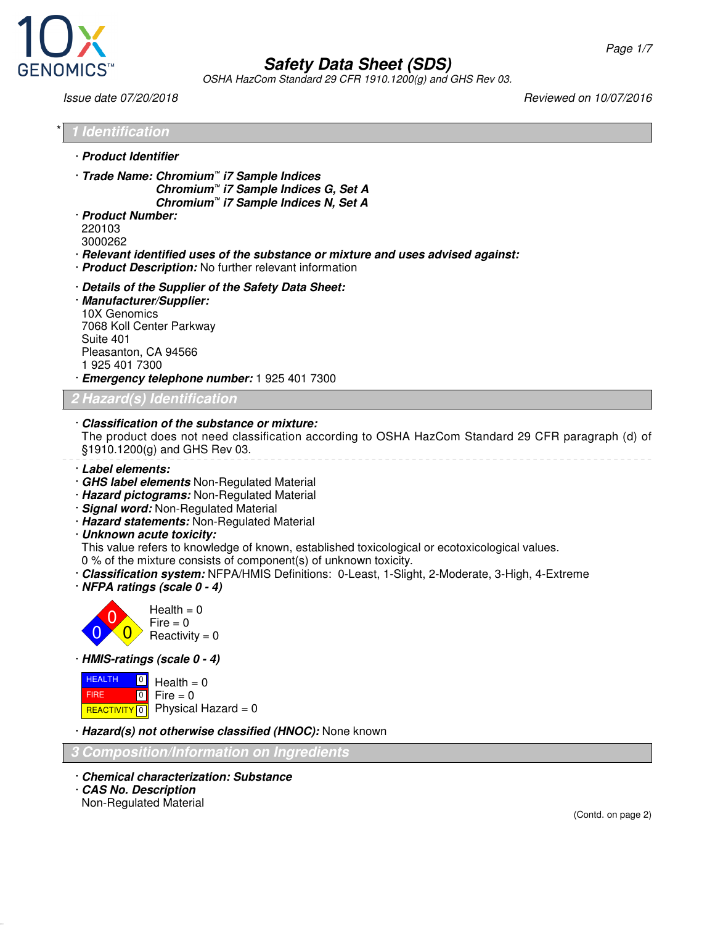

OSHA HazCom Standard 29 CFR 1910.1200(g) and GHS Rev 03.

Issue date 07/20/2018 Reviewed on 10/07/2016

\* **1 Identification** · **Product Identifier** · **Trade Name: Chromium™ i7 Sample Indices Chromium™ i7 Sample Indices G, Set A Chromium™ i7 Sample Indices N, Set A** · **Product Number:** 220103 3000262 · **Relevant identified uses of the substance or mixture and uses advised against:** · **Product Description:** No further relevant information · **Details of the Supplier of the Safety Data Sheet:** · **Manufacturer/Supplier:** 10X Genomics 7068 Koll Center Parkway Suite 401 Pleasanton, CA 94566 1 925 401 7300 · **Emergency telephone number:** 1 925 401 7300 **Hazard(s) Identification** · **Classification of the substance or mixture:** The product does not need classification according to OSHA HazCom Standard 29 CFR paragraph (d) of §1910.1200(g) and GHS Rev 03. · **Label elements:** · **GHS label elements** Non-Regulated Material · **Hazard pictograms:** Non-Regulated Material · **Signal word:** Non-Regulated Material · **Hazard statements:** Non-Regulated Material · **Unknown acute toxicity:** This value refers to knowledge of known, established toxicological or ecotoxicological values. 0 % of the mixture consists of component(s) of unknown toxicity. · **Classification system:** NFPA/HMIS Definitions: 0-Least, 1-Slight, 2-Moderate, 3-High, 4-Extreme · **NFPA ratings (scale 0 - 4)**  $\overline{0}$  $\overline{0}$  $\overline{0}$  $Health = 0$  $Fire = 0$  $Reactivity = 0$ · **HMIS-ratings (scale 0 - 4) HEALTH**  FIRE <mark>REACTIVITY</mark> 0  $\overline{0}$  $\boxed{0}$  $Health = 0$  $Fire = 0$ Physical Hazard  $= 0$ · **Hazard(s) not otherwise classified (HNOC):** None known **3 Composition/Information on Ingredients** · **Chemical characterization: Substance** · **CAS No. Description** Non-Regulated Material (Contd. on page 2)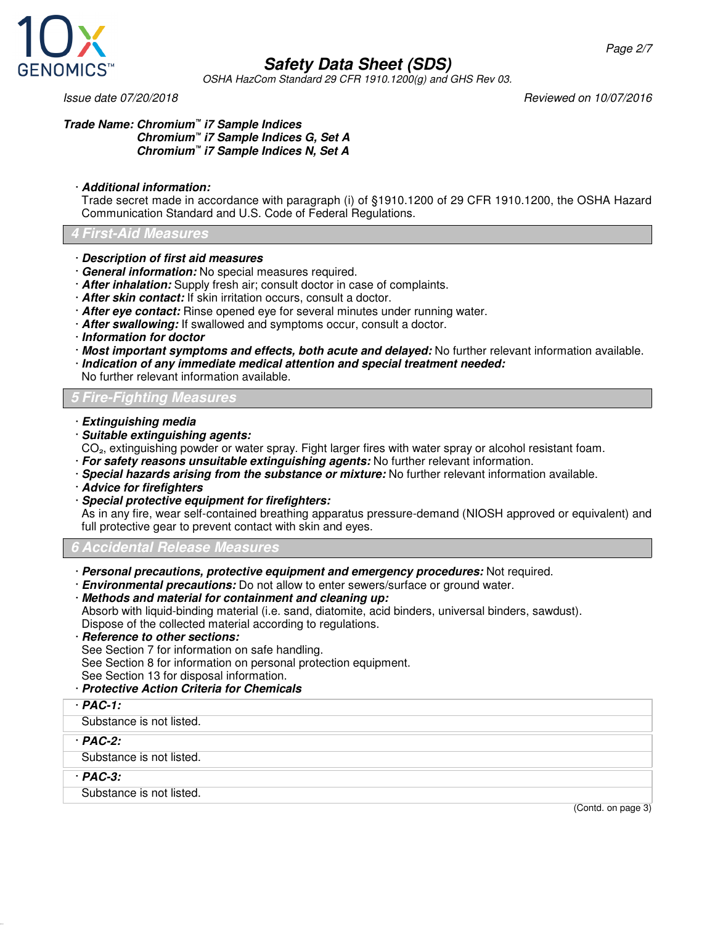

OSHA HazCom Standard 29 CFR 1910.1200(g) and GHS Rev 03.

Issue date 07/20/2018 Reviewed on 10/07/2016

#### **Trade Name: Chromium™ i7 Sample Indices Chromium™ i7 Sample Indices G, Set A Chromium™ i7 Sample Indices N, Set A**

#### · **Additional information:**

Trade secret made in accordance with paragraph (i) of §1910.1200 of 29 CFR 1910.1200, the OSHA Hazard Communication Standard and U.S. Code of Federal Regulations.

#### **4 First-Aid Measures**

#### · **Description of first aid measures**

- · **General information:** No special measures required.
- · **After inhalation:** Supply fresh air; consult doctor in case of complaints.
- · **After skin contact:** If skin irritation occurs, consult a doctor.
- · **After eye contact:** Rinse opened eye for several minutes under running water.
- · **After swallowing:** If swallowed and symptoms occur, consult a doctor.
- · **Information for doctor**
- · **Most important symptoms and effects, both acute and delayed:** No further relevant information available.
- · **Indication of any immediate medical attention and special treatment needed:**
- No further relevant information available.

#### **5 Fire-Fighting Measures**

- · **Extinguishing media**
- · **Suitable extinguishing agents:**
- CO<sub>2</sub>, extinguishing powder or water spray. Fight larger fires with water spray or alcohol resistant foam.
- · **For safety reasons unsuitable extinguishing agents:** No further relevant information.
- · **Special hazards arising from the substance or mixture:** No further relevant information available.
- · **Advice for firefighters**
- · **Special protective equipment for firefighters:**

As in any fire, wear self-contained breathing apparatus pressure-demand (NIOSH approved or equivalent) and full protective gear to prevent contact with skin and eyes.

**6 Accidental Release Measures**

- · **Personal precautions, protective equipment and emergency procedures:** Not required.
- · **Environmental precautions:** Do not allow to enter sewers/surface or ground water.
- · **Methods and material for containment and cleaning up:** Absorb with liquid-binding material (i.e. sand, diatomite, acid binders, universal binders, sawdust). Dispose of the collected material according to regulations.
- · **Reference to other sections:** See Section 7 for information on safe handling. See Section 8 for information on personal protection equipment. See Section 13 for disposal information.
- · **Protective Action Criteria for Chemicals**
- · **PAC-1:**
- Substance is not listed.
- · **PAC-2:**
- Substance is not listed.
- · **PAC-3:**

Substance is not listed.

(Contd. on page 3)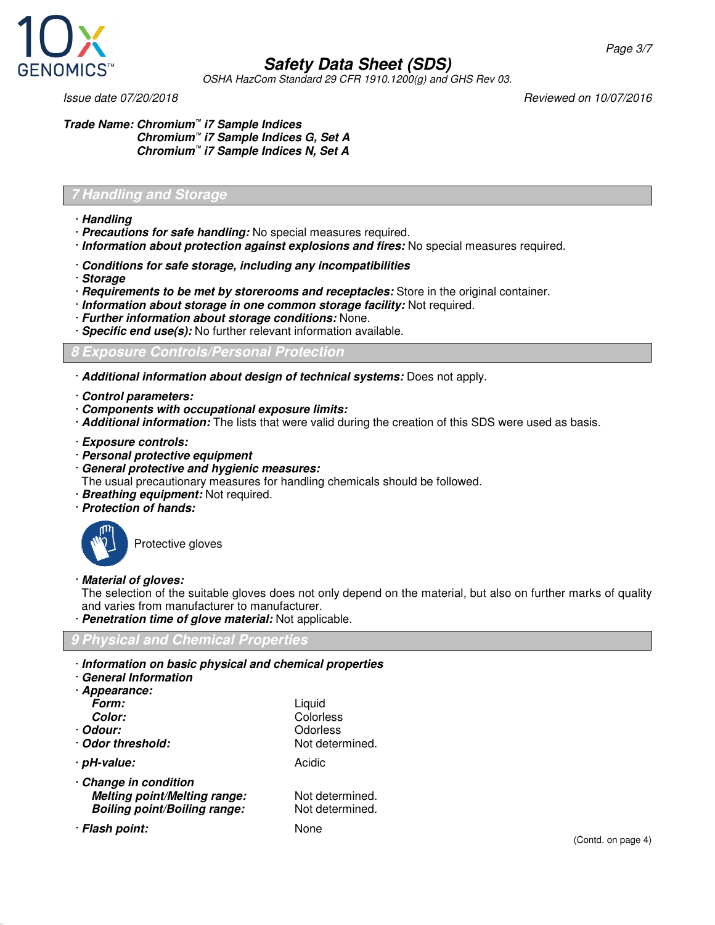

OSHA HazCom Standard 29 CFR 1910.1200(g) and GHS Rev 03.

Issue date 07/20/2018 Reviewed on 10/07/2016

Page 3/7

**Trade Name: Chromium™ i7 Sample Indices Chromium™ i7 Sample Indices G, Set A Chromium™ i7 Sample Indices N, Set A**

#### **7 Handling and Storage**

- · **Handling**
- · **Precautions for safe handling:** No special measures required.
- · **Information about protection against explosions and fires:** No special measures required.
- · **Conditions for safe storage, including any incompatibilities**
- · **Storage**
- · **Requirements to be met by storerooms and receptacles:** Store in the original container.
- · **Information about storage in one common storage facility:** Not required.
- · **Further information about storage conditions:** None.
- · **Specific end use(s):** No further relevant information available.

**8 Exposure Controls/Personal Protection**

- · **Additional information about design of technical systems:** Does not apply.
- · **Control parameters:**
- · **Components with occupational exposure limits:**
- · **Additional information:** The lists that were valid during the creation of this SDS were used as basis.
- · **Exposure controls:**
- · **Personal protective equipment**
- · **General protective and hygienic measures:**
- The usual precautionary measures for handling chemicals should be followed.
- · **Breathing equipment:** Not required.
- · **Protection of hands:**



Protective gloves

· **Material of gloves:**

The selection of the suitable gloves does not only depend on the material, but also on further marks of quality and varies from manufacturer to manufacturer.

· **Penetration time of glove material:** Not applicable.

#### **9 Physical and Chemical Properties**

· **Information on basic physical and chemical properties**

| <b>General Information</b> |  |
|----------------------------|--|
| · Appearance:              |  |
| Form:                      |  |
| <b>Color:</b>              |  |

**Boiling point/Boiling range:** 

**Form:** Liquid **Color:** Colorless · **Odour:** Odorless · **Odor threshold:** Not determined. · **pH-value:** Acidic **Melting point/Melting range:** Not determined.<br>**Boiling point/Boiling range:** Not determined.

· **Flash point:** None

· **Change in condition**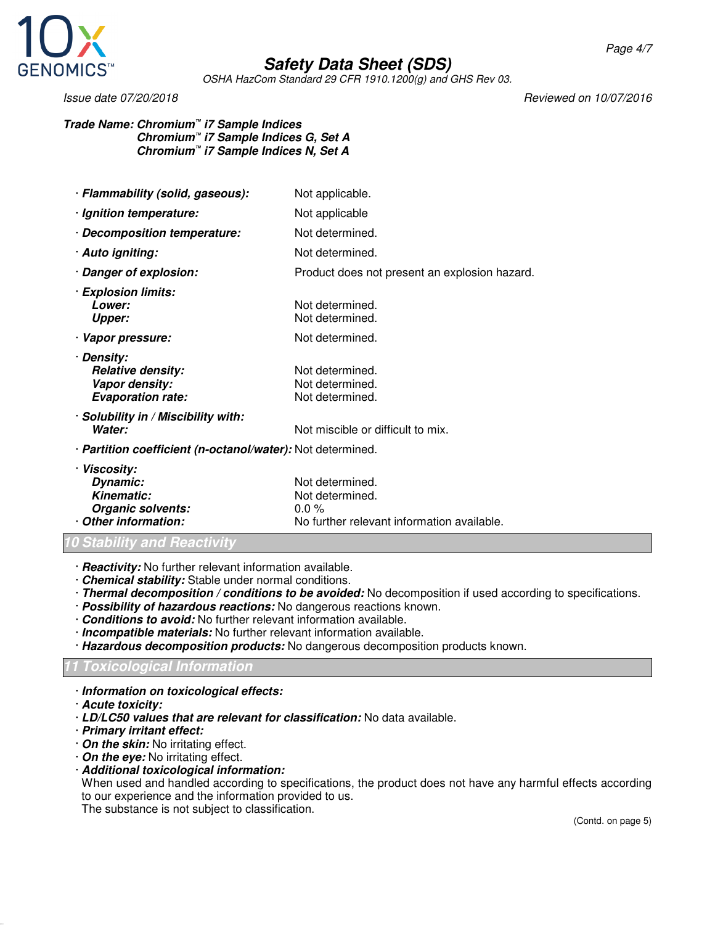

OSHA HazCom Standard 29 CFR 1910.1200(g) and GHS Rev 03.

Issue date 07/20/2018 Reviewed on 10/07/2016

**Trade Name: Chromium™ i7 Sample Indices Chromium™ i7 Sample Indices G, Set A Chromium™ i7 Sample Indices N, Set A**

| · Flammability (solid, gaseous):                                                         | Not applicable.                                                                             |  |
|------------------------------------------------------------------------------------------|---------------------------------------------------------------------------------------------|--|
| · Ignition temperature:                                                                  | Not applicable                                                                              |  |
| · Decomposition temperature:                                                             | Not determined.                                                                             |  |
| · Auto igniting:                                                                         | Not determined.                                                                             |  |
| · Danger of explosion:                                                                   | Product does not present an explosion hazard.                                               |  |
| · Explosion limits:<br>Lower:<br><b>Upper:</b>                                           | Not determined.<br>Not determined.                                                          |  |
| · Vapor pressure:                                                                        | Not determined.                                                                             |  |
| · Density:<br><b>Relative density:</b><br>Vapor density:<br><b>Evaporation rate:</b>     | Not determined.<br>Not determined.<br>Not determined.                                       |  |
| · Solubility in / Miscibility with:<br>Water:                                            | Not miscible or difficult to mix.                                                           |  |
| · Partition coefficient (n-octanol/water): Not determined.                               |                                                                                             |  |
| · Viscosity:<br>Dynamic:<br><b>Kinematic:</b><br>Organic solvents:<br>Other information: | Not determined.<br>Not determined.<br>$0.0\%$<br>No further relevant information available. |  |

- **10 Stability and Reactivity**
- · **Reactivity:** No further relevant information available.
- · **Chemical stability:** Stable under normal conditions.
- · **Thermal decomposition / conditions to be avoided:** No decomposition if used according to specifications.
- · **Possibility of hazardous reactions:** No dangerous reactions known.
- · **Conditions to avoid:** No further relevant information available.
- · **Incompatible materials:** No further relevant information available.
- · **Hazardous decomposition products:** No dangerous decomposition products known.

#### **11 Toxicological Information**

- · **Information on toxicological effects:**
- · **Acute toxicity:**
- · **LD/LC50 values that are relevant for classification:** No data available.
- · **Primary irritant effect:**
- · **On the skin:** No irritating effect.
- · **On the eye:** No irritating effect.
- · **Additional toxicological information:**

When used and handled according to specifications, the product does not have any harmful effects according to our experience and the information provided to us.

The substance is not subject to classification.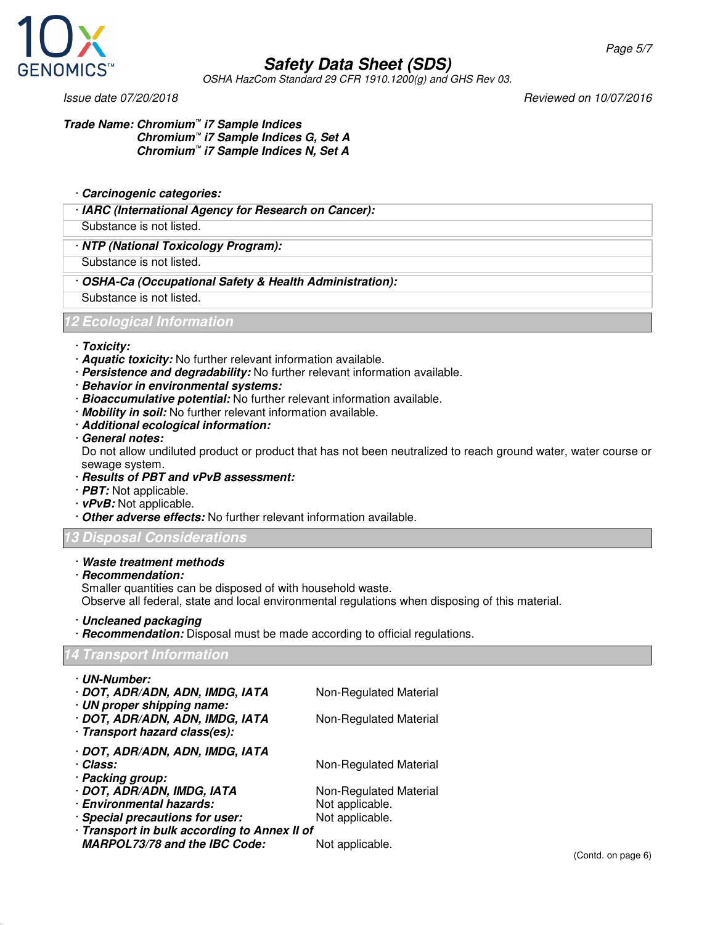

OSHA HazCom Standard 29 CFR 1910.1200(g) and GHS Rev 03.

Issue date 07/20/2018 Reviewed on 10/07/2016

**Trade Name: Chromium™ i7 Sample Indices Chromium™ i7 Sample Indices G, Set A Chromium™ i7 Sample Indices N, Set A**

· **Carcinogenic categories:**

· **IARC (International Agency for Research on Cancer):**

Substance is not listed.

· **NTP (National Toxicology Program):**

Substance is not listed.

· **OSHA-Ca (Occupational Safety & Health Administration):**

Substance is not listed.

**12 Ecological Information**

- · **Toxicity:**
- · **Aquatic toxicity:** No further relevant information available.
- · **Persistence and degradability:** No further relevant information available.
- · **Behavior in environmental systems:**
- · **Bioaccumulative potential:** No further relevant information available.
- · **Mobility in soil:** No further relevant information available.
- · **Additional ecological information:**
- · **General notes:**

Do not allow undiluted product or product that has not been neutralized to reach ground water, water course or sewage system.

- · **Results of PBT and vPvB assessment:**
- · **PBT:** Not applicable.
- · **vPvB:** Not applicable.
- · **Other adverse effects:** No further relevant information available.

#### **13 Disposal Considerations**

#### · **Waste treatment methods**

· **Recommendation:**

Smaller quantities can be disposed of with household waste.

Observe all federal, state and local environmental regulations when disposing of this material.

- · **Uncleaned packaging**
- · **Recommendation:** Disposal must be made according to official regulations.

#### **14 Transport Information**

| · UN-Number:                                 |                        |
|----------------------------------------------|------------------------|
| · DOT, ADR/ADN, ADN, IMDG, IATA              | Non-Regulated Material |
| · UN proper shipping name:                   |                        |
| · DOT, ADR/ADN, ADN, IMDG, IATA              | Non-Regulated Material |
| · Transport hazard class(es):                |                        |
| · DOT, ADR/ADN, ADN, IMDG, IATA              |                        |
| · Class:                                     | Non-Regulated Material |
| · Packing group:                             |                        |
| · DOT, ADR/ADN, IMDG, IATA                   | Non-Regulated Material |
| · Environmental hazards:                     | Not applicable.        |
| · Special precautions for user:              | Not applicable.        |
| · Transport in bulk according to Annex II of |                        |
| <b>MARPOL73/78 and the IBC Code:</b>         | Not applicable.        |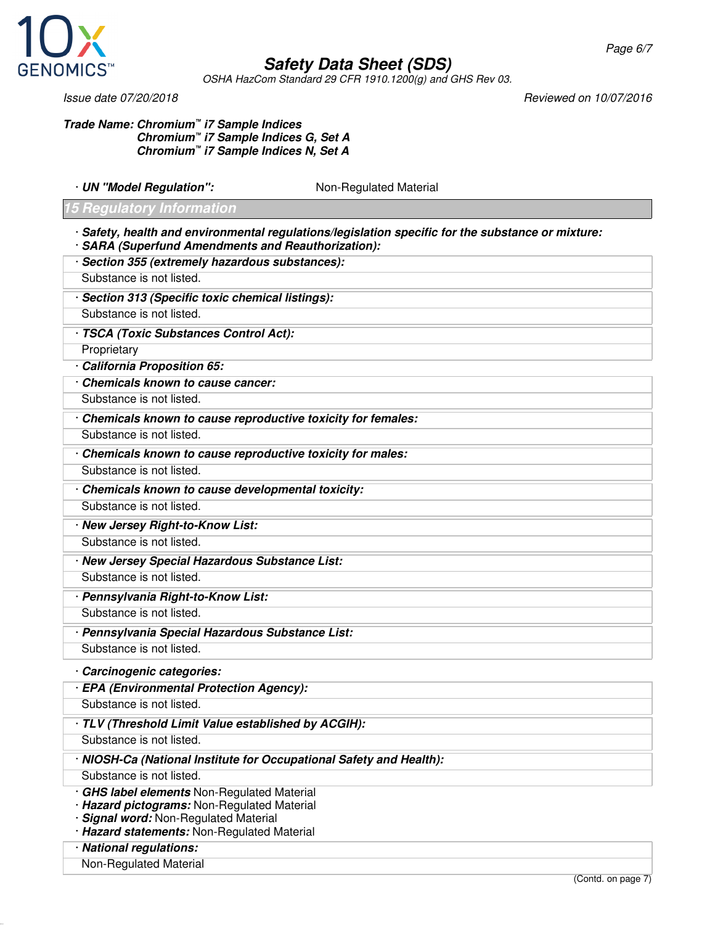

OSHA HazCom Standard 29 CFR 1910.1200(g) and GHS Rev 03.

#### **Trade Name: Chromium™ i7 Sample Indices Chromium™ i7 Sample Indices G, Set A Chromium™ i7 Sample Indices N, Set A**

· **UN "Model Regulation":** Non-Regulated Material

#### **15 Regulatory Information**

- · **Safety, health and environmental regulations/legislation specific for the substance or mixture:**
- · **SARA (Superfund Amendments and Reauthorization):**
- · **Section 355 (extremely hazardous substances):**
- Substance is not listed.
- · **Section 313 (Specific toxic chemical listings):**
- Substance is not listed.
- · **TSCA (Toxic Substances Control Act):**
- **Proprietary**
- · **California Proposition 65:**
- · **Chemicals known to cause cancer:**
- Substance is not listed.
- · **Chemicals known to cause reproductive toxicity for females:**
- Substance is not listed.
- · **Chemicals known to cause reproductive toxicity for males:**
- Substance is not listed.
- · **Chemicals known to cause developmental toxicity:**
- Substance is not listed.
- · **New Jersey Right-to-Know List:**
- Substance is not listed.
- · **New Jersey Special Hazardous Substance List:**
- Substance is not listed.
- · **Pennsylvania Right-to-Know List:**
- Substance is not listed.
- · **Pennsylvania Special Hazardous Substance List:** Substance is not listed.
- · **Carcinogenic categories:**
- · **EPA (Environmental Protection Agency):**
- Substance is not listed.
- · **TLV (Threshold Limit Value established by ACGIH):**
- Substance is not listed.
- · **NIOSH-Ca (National Institute for Occupational Safety and Health):**
- Substance is not listed.
- · **GHS label elements** Non-Regulated Material
- · **Hazard pictograms:** Non-Regulated Material
- · **Signal word:** Non-Regulated Material
- · **Hazard statements:** Non-Regulated Material
- · **National regulations:**
- Non-Regulated Material

Issue date 07/20/2018 Reviewed on 10/07/2016